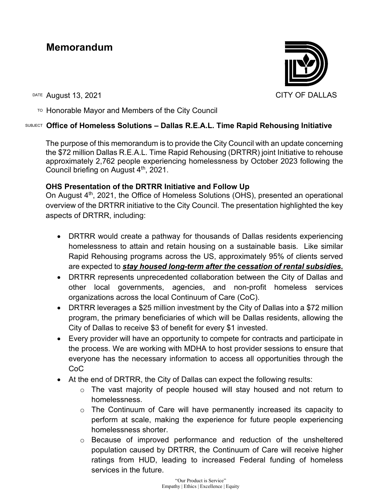# **Memorandum**

DATE August 13, 2021 CITY OF DALLAS

 $T^{\circ}$  Honorable Mayor and Members of the City Council

# SUBJECT **Office of Homeless Solutions – Dallas R.E.A.L. Time Rapid Rehousing Initiative**

The purpose of this memorandum is to provide the City Council with an update concerning the \$72 million Dallas R.E.A.L. Time Rapid Rehousing (DRTRR) joint Initiative to rehouse approximately 2,762 people experiencing homelessness by October 2023 following the Council briefing on August 4th, 2021.

# **OHS Presentation of the DRTRR Initiative and Follow Up**

On August 4<sup>th</sup>, 2021, the Office of Homeless Solutions (OHS), presented an operational overview of the DRTRR initiative to the City Council. The presentation highlighted the key aspects of DRTRR, including:

- DRTRR would create a pathway for thousands of Dallas residents experiencing homelessness to attain and retain housing on a sustainable basis. Like similar Rapid Rehousing programs across the US, approximately 95% of clients served are expected to *stay housed long-term after the cessation of rental subsidies.*
- DRTRR represents unprecedented collaboration between the City of Dallas and other local governments, agencies, and non-profit homeless services organizations across the local Continuum of Care (CoC).
- DRTRR leverages a \$25 million investment by the City of Dallas into a \$72 million program, the primary beneficiaries of which will be Dallas residents, allowing the City of Dallas to receive \$3 of benefit for every \$1 invested.
- Every provider will have an opportunity to compete for contracts and participate in the process. We are working with MDHA to host provider sessions to ensure that everyone has the necessary information to access all opportunities through the CoC
- At the end of DRTRR, the City of Dallas can expect the following results:
	- o The vast majority of people housed will stay housed and not return to homelessness.
	- $\circ$  The Continuum of Care will have permanently increased its capacity to perform at scale, making the experience for future people experiencing homelessness shorter.
	- o Because of improved performance and reduction of the unsheltered population caused by DRTRR, the Continuum of Care will receive higher ratings from HUD, leading to increased Federal funding of homeless services in the future.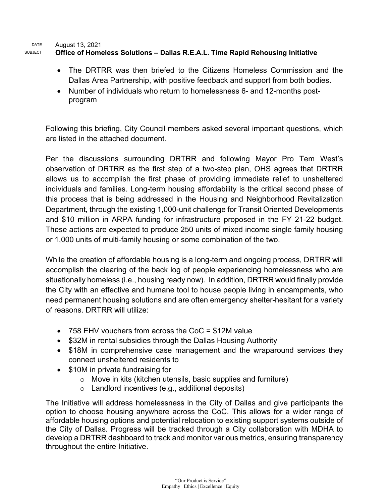DATE August 13, 2021 SUBJECT **Office of Homeless Solutions – Dallas R.E.A.L. Time Rapid Rehousing Initiative** 

- The DRTRR was then briefed to the Citizens Homeless Commission and the Dallas Area Partnership, with positive feedback and support from both bodies.
- Number of individuals who return to homelessness 6- and 12-months postprogram

Following this briefing, City Council members asked several important questions, which are listed in the attached document.

Per the discussions surrounding DRTRR and following Mayor Pro Tem West's observation of DRTRR as the first step of a two-step plan, OHS agrees that DRTRR allows us to accomplish the first phase of providing immediate relief to unsheltered individuals and families. Long-term housing affordability is the critical second phase of this process that is being addressed in the Housing and Neighborhood Revitalization Department, through the existing 1,000-unit challenge for Transit Oriented Developments and \$10 million in ARPA funding for infrastructure proposed in the FY 21-22 budget. These actions are expected to produce 250 units of mixed income single family housing or 1,000 units of multi-family housing or some combination of the two.

While the creation of affordable housing is a long-term and ongoing process, DRTRR will accomplish the clearing of the back log of people experiencing homelessness who are situationally homeless (i.e., housing ready now). In addition, DRTRR would finally provide the City with an effective and humane tool to house people living in encampments, who need permanent housing solutions and are often emergency shelter-hesitant for a variety of reasons. DRTRR will utilize:

- 758 EHV vouchers from across the CoC = \$12M value
- \$32M in rental subsidies through the Dallas Housing Authority
- \$18M in comprehensive case management and the wraparound services they connect unsheltered residents to
- \$10M in private fundraising for
	- $\circ$  Move in kits (kitchen utensils, basic supplies and furniture)
	- $\circ$  Landlord incentives (e.g., additional deposits)

The Initiative will address homelessness in the City of Dallas and give participants the option to choose housing anywhere across the CoC. This allows for a wider range of affordable housing options and potential relocation to existing support systems outside of the City of Dallas. Progress will be tracked through a City collaboration with MDHA to develop a DRTRR dashboard to track and monitor various metrics, ensuring transparency throughout the entire Initiative.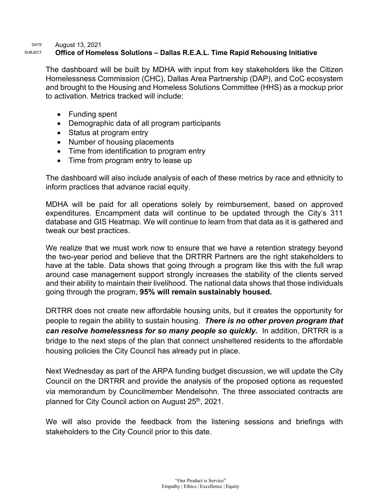#### DATE August 13, 2021 SUBJECT **Office of Homeless Solutions – Dallas R.E.A.L. Time Rapid Rehousing Initiative**

The dashboard will be built by MDHA with input from key stakeholders like the Citizen Homelessness Commission (CHC), Dallas Area Partnership (DAP), and CoC ecosystem and brought to the Housing and Homeless Solutions Committee (HHS) as a mockup prior to activation. Metrics tracked will include:

- Funding spent
- Demographic data of all program participants
- Status at program entry
- Number of housing placements
- Time from identification to program entry
- Time from program entry to lease up

The dashboard will also include analysis of each of these metrics by race and ethnicity to inform practices that advance racial equity.

MDHA will be paid for all operations solely by reimbursement, based on approved expenditures. Encampment data will continue to be updated through the City's 311 database and GIS Heatmap. We will continue to learn from that data as it is gathered and tweak our best practices.

We realize that we must work now to ensure that we have a retention strategy beyond the two-year period and believe that the DRTRR Partners are the right stakeholders to have at the table. Data shows that going through a program like this with the full wrap around case management support strongly increases the stability of the clients served and their ability to maintain their livelihood. The national data shows that those individuals going through the program, **95% will remain sustainably housed.**

DRTRR does not create new affordable housing units, but it creates the opportunity for people to regain the ability to sustain housing. *There is no other proven program that can resolve homelessness for so many people so quickly.* In addition, DRTRR is a bridge to the next steps of the plan that connect unsheltered residents to the affordable housing policies the City Council has already put in place.

Next Wednesday as part of the ARPA funding budget discussion, we will update the City Council on the DRTRR and provide the analysis of the proposed options as requested via memorandum by Councilmember Mendelsohn. The three associated contracts are planned for City Council action on August 25<sup>th</sup>, 2021.

We will also provide the feedback from the listening sessions and briefings with stakeholders to the City Council prior to this date.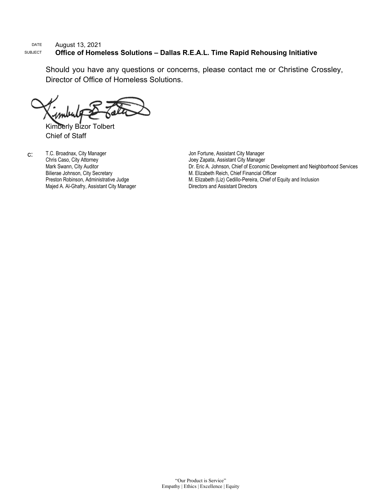#### DATE August 13, 2021<br>SUBJECT **Office of Hom Office of Homeless Solutions - Dallas R.E.A.L. Time Rapid Rehousing Initiative**

Should you have any questions or concerns, please contact me or Christine Crossley, Director of Office of Homeless Solutions.

Kimberly Bizor Tolbert Chief of Staff

c: T.C. Broadnax, City Manager Chris Caso, City Attorney Mark Swann, City Auditor Bilierae Johnson, City Secretary Preston Robinson, Administrative Judge Majed A. Al-Ghafry, Assistant City Manager Jon Fortune, Assistant City Manager Joey Zapata, Assistant City Manager Dr. Eric A. Johnson, Chief of Economic Development and Neighborhood Services M. Elizabeth Reich, Chief Financial Officer M. Elizabeth (Liz) Cedillo-Pereira, Chief of Equity and Inclusion Directors and Assistant Directors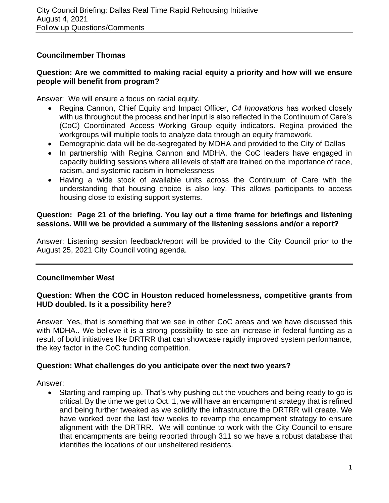# **Councilmember Thomas**

# **Question: Are we committed to making racial equity a priority and how will we ensure people will benefit from program?**

Answer: We will ensure a focus on racial equity.

- Regina Cannon, Chief Equity and Impact Officer, *C4 Innovations* has worked closely with us throughout the process and her input is also reflected in the Continuum of Care's (CoC) Coordinated Access Working Group equity indicators. Regina provided the workgroups will multiple tools to analyze data through an equity framework.
- Demographic data will be de-segregated by MDHA and provided to the City of Dallas
- In partnership with Regina Cannon and MDHA, the CoC leaders have engaged in capacity building sessions where all levels of staff are trained on the importance of race, racism, and systemic racism in homelessness
- Having a wide stock of available units across the Continuum of Care with the understanding that housing choice is also key. This allows participants to access housing close to existing support systems.

# **Question: Page 21 of the briefing. You lay out a time frame for briefings and listening sessions. Will we be provided a summary of the listening sessions and/or a report?**

Answer: Listening session feedback/report will be provided to the City Council prior to the August 25, 2021 City Council voting agenda.

# **Councilmember West**

# **Question: When the COC in Houston reduced homelessness, competitive grants from HUD doubled. Is it a possibility here?**

Answer: Yes, that is something that we see in other CoC areas and we have discussed this with MDHA.. We believe it is a strong possibility to see an increase in federal funding as a result of bold initiatives like DRTRR that can showcase rapidly improved system performance, the key factor in the CoC funding competition.

# **Question: What challenges do you anticipate over the next two years?**

Answer:

• Starting and ramping up. That's why pushing out the vouchers and being ready to go is critical. By the time we get to Oct. 1, we will have an encampment strategy that is refined and being further tweaked as we solidify the infrastructure the DRTRR will create. We have worked over the last few weeks to revamp the encampment strategy to ensure alignment with the DRTRR. We will continue to work with the City Council to ensure that encampments are being reported through 311 so we have a robust database that identifies the locations of our unsheltered residents.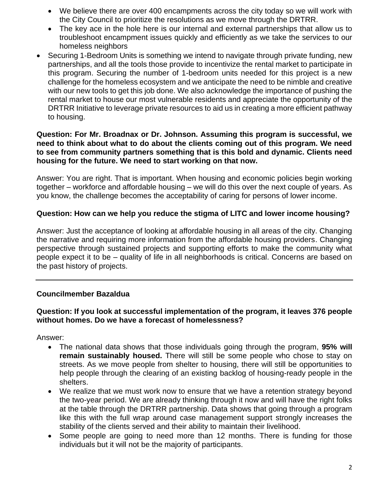- We believe there are over 400 encampments across the city today so we will work with the City Council to prioritize the resolutions as we move through the DRTRR.
- The key ace in the hole here is our internal and external partnerships that allow us to troubleshoot encampment issues quickly and efficiently as we take the services to our homeless neighbors
- Securing 1-Bedroom Units is something we intend to navigate through private funding, new partnerships, and all the tools those provide to incentivize the rental market to participate in this program. Securing the number of 1-bedroom units needed for this project is a new challenge for the homeless ecosystem and we anticipate the need to be nimble and creative with our new tools to get this job done. We also acknowledge the importance of pushing the rental market to house our most vulnerable residents and appreciate the opportunity of the DRTRR Initiative to leverage private resources to aid us in creating a more efficient pathway to housing.

## **Question: For Mr. Broadnax or Dr. Johnson. Assuming this program is successful, we need to think about what to do about the clients coming out of this program. We need to see from community partners something that is this bold and dynamic. Clients need housing for the future. We need to start working on that now.**

Answer: You are right. That is important. When housing and economic policies begin working together – workforce and affordable housing – we will do this over the next couple of years. As you know, the challenge becomes the acceptability of caring for persons of lower income.

# **Question: How can we help you reduce the stigma of LITC and lower income housing?**

Answer: Just the acceptance of looking at affordable housing in all areas of the city. Changing the narrative and requiring more information from the affordable housing providers. Changing perspective through sustained projects and supporting efforts to make the community what people expect it to be – quality of life in all neighborhoods is critical. Concerns are based on the past history of projects.

# **Councilmember Bazaldua**

# **Question: If you look at successful implementation of the program, it leaves 376 people without homes. Do we have a forecast of homelessness?**

Answer:

- The national data shows that those individuals going through the program, **95% will remain sustainably housed.** There will still be some people who chose to stay on streets. As we move people from shelter to housing, there will still be opportunities to help people through the clearing of an existing backlog of housing-ready people in the shelters.
- We realize that we must work now to ensure that we have a retention strategy beyond the two-year period. We are already thinking through it now and will have the right folks at the table through the DRTRR partnership. Data shows that going through a program like this with the full wrap around case management support strongly increases the stability of the clients served and their ability to maintain their livelihood.
- Some people are going to need more than 12 months. There is funding for those individuals but it will not be the majority of participants.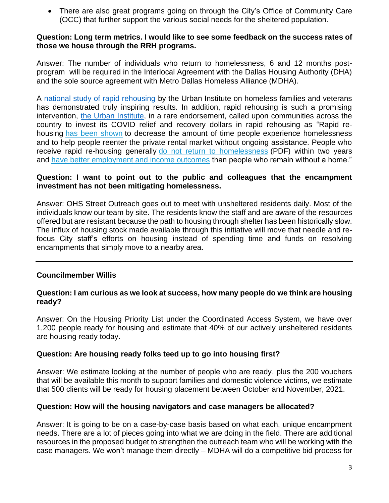• There are also great programs going on through the City's Office of Community Care (OCC) that further support the various social needs for the sheltered population.

# **Question: Long term metrics. I would like to see some feedback on the success rates of those we house through the RRH programs.**

Answer: The number of individuals who return to homelessness, 6 and 12 months postprogram will be required in the Interlocal Agreement with the Dallas Housing Authority (DHA) and the sole source agreement with Metro Dallas Homeless Alliance (MDHA).

A [national study of rapid rehousing](https://www.urban.org/sites/default/files/publication/99153/rapid_re-housings_role_in_responding_to_homelessness_3.pdf) by the Urban Institute on homeless families and veterans has demonstrated truly inspiring results. In addition, rapid rehousing is such a promising intervention, [the Urban Institute,](https://www.urban.org/urban-wire/why-communities-should-prioritize-rapid-re-housing-people-forced-live-outside) in a rare endorsement, called upon communities across the country to invest its COVID relief and recovery dollars in rapid rehousing as "Rapid rehousing [has been shown](https://www.huduser.gov/portal/family_options_study.html) to decrease the amount of time people experience homelessness and to help people reenter the private rental market without ongoing assistance. People who receive rapid re-housing generally [do not return to homelessness](https://www.va.gov/HOMELESS/ssvf/docs/2015_Byrne_et_al_SSVF.pdf) (PDF) within two years and [have better employment and income outcomes](https://www.dshs.wa.gov/ffa/rda/research-reports/employment-outcomes-associated-rapid-re-housing-assistance-homeless-dshs-clients-washington-state) than people who remain without a home."

# **Question: I want to point out to the public and colleagues that the encampment investment has not been mitigating homelessness.**

Answer: OHS Street Outreach goes out to meet with unsheltered residents daily. Most of the individuals know our team by site. The residents know the staff and are aware of the resources offered but are resistant because the path to housing through shelter has been historically slow. The influx of housing stock made available through this initiative will move that needle and refocus City staff's efforts on housing instead of spending time and funds on resolving encampments that simply move to a nearby area.

# **Councilmember Willis**

# **Question: I am curious as we look at success, how many people do we think are housing ready?**

Answer: On the Housing Priority List under the Coordinated Access System, we have over 1,200 people ready for housing and estimate that 40% of our actively unsheltered residents are housing ready today.

# **Question: Are housing ready folks teed up to go into housing first?**

Answer: We estimate looking at the number of people who are ready, plus the 200 vouchers that will be available this month to support families and domestic violence victims, we estimate that 500 clients will be ready for housing placement between October and November, 2021.

# **Question: How will the housing navigators and case managers be allocated?**

Answer: It is going to be on a case-by-case basis based on what each, unique encampment needs. There are a lot of pieces going into what we are doing in the field. There are additional resources in the proposed budget to strengthen the outreach team who will be working with the case managers. We won't manage them directly – MDHA will do a competitive bid process for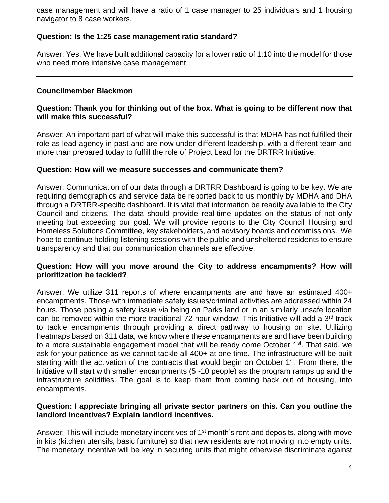case management and will have a ratio of 1 case manager to 25 individuals and 1 housing navigator to 8 case workers.

# **Question: Is the 1:25 case management ratio standard?**

Answer: Yes. We have built additional capacity for a lower ratio of 1:10 into the model for those who need more intensive case management.

# **Councilmember Blackmon**

# **Question: Thank you for thinking out of the box. What is going to be different now that will make this successful?**

Answer: An important part of what will make this successful is that MDHA has not fulfilled their role as lead agency in past and are now under different leadership, with a different team and more than prepared today to fulfill the role of Project Lead for the DRTRR Initiative.

## **Question: How will we measure successes and communicate them?**

Answer: Communication of our data through a DRTRR Dashboard is going to be key. We are requiring demographics and service data be reported back to us monthly by MDHA and DHA through a DRTRR-specific dashboard. It is vital that information be readily available to the City Council and citizens. The data should provide real-time updates on the status of not only meeting but exceeding our goal. We will provide reports to the City Council Housing and Homeless Solutions Committee, key stakeholders, and advisory boards and commissions. We hope to continue holding listening sessions with the public and unsheltered residents to ensure transparency and that our communication channels are effective.

# **Question: How will you move around the City to address encampments? How will prioritization be tackled?**

Answer: We utilize 311 reports of where encampments are and have an estimated 400+ encampments. Those with immediate safety issues/criminal activities are addressed within 24 hours. Those posing a safety issue via being on Parks land or in an similarly unsafe location can be removed within the more traditional 72 hour window. This Initiative will add a  $3<sup>rd</sup>$  track to tackle encampments through providing a direct pathway to housing on site. Utilizing heatmaps based on 311 data, we know where these encampments are and have been building to a more sustainable engagement model that will be ready come October 1<sup>st</sup>. That said, we ask for your patience as we cannot tackle all 400+ at one time. The infrastructure will be built starting with the activation of the contracts that would begin on October 1<sup>st</sup>. From there, the Initiative will start with smaller encampments (5 -10 people) as the program ramps up and the infrastructure solidifies. The goal is to keep them from coming back out of housing, into encampments.

# **Question: I appreciate bringing all private sector partners on this. Can you outline the landlord incentives? Explain landlord incentives.**

Answer: This will include monetary incentives of 1<sup>st</sup> month's rent and deposits, along with move in kits (kitchen utensils, basic furniture) so that new residents are not moving into empty units. The monetary incentive will be key in securing units that might otherwise discriminate against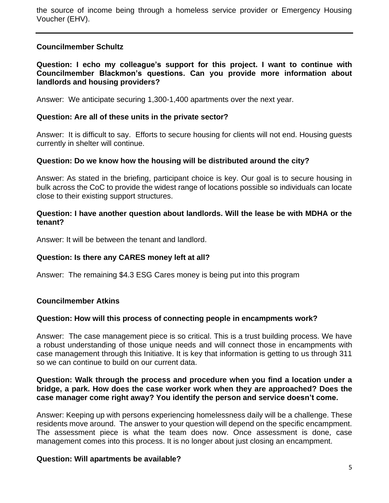the source of income being through a homeless service provider or Emergency Housing Voucher (EHV).

# **Councilmember Schultz**

**Question: I echo my colleague's support for this project. I want to continue with Councilmember Blackmon's questions. Can you provide more information about landlords and housing providers?**

Answer: We anticipate securing 1,300-1,400 apartments over the next year.

## **Question: Are all of these units in the private sector?**

Answer: It is difficult to say. Efforts to secure housing for clients will not end. Housing guests currently in shelter will continue.

## **Question: Do we know how the housing will be distributed around the city?**

Answer: As stated in the briefing, participant choice is key. Our goal is to secure housing in bulk across the CoC to provide the widest range of locations possible so individuals can locate close to their existing support structures.

## **Question: I have another question about landlords. Will the lease be with MDHA or the tenant?**

Answer: It will be between the tenant and landlord.

#### **Question: Is there any CARES money left at all?**

Answer: The remaining \$4.3 ESG Cares money is being put into this program

# **Councilmember Atkins**

#### **Question: How will this process of connecting people in encampments work?**

Answer: The case management piece is so critical. This is a trust building process. We have a robust understanding of those unique needs and will connect those in encampments with case management through this Initiative. It is key that information is getting to us through 311 so we can continue to build on our current data.

## **Question: Walk through the process and procedure when you find a location under a bridge, a park. How does the case worker work when they are approached? Does the case manager come right away? You identify the person and service doesn't come.**

Answer: Keeping up with persons experiencing homelessness daily will be a challenge. These residents move around. The answer to your question will depend on the specific encampment. The assessment piece is what the team does now. Once assessment is done, case management comes into this process. It is no longer about just closing an encampment.

#### **Question: Will apartments be available?**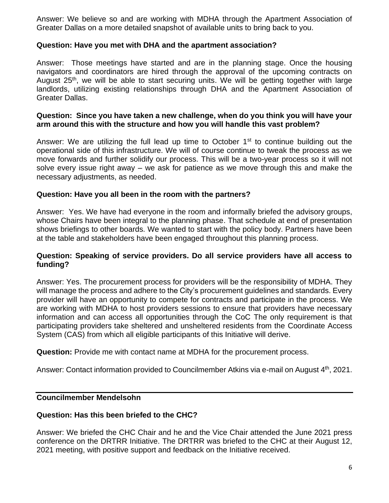Answer: We believe so and are working with MDHA through the Apartment Association of Greater Dallas on a more detailed snapshot of available units to bring back to you.

## **Question: Have you met with DHA and the apartment association?**

Answer: Those meetings have started and are in the planning stage. Once the housing navigators and coordinators are hired through the approval of the upcoming contracts on August 25<sup>th</sup>, we will be able to start securing units. We will be getting together with large landlords, utilizing existing relationships through DHA and the Apartment Association of Greater Dallas.

## **Question: Since you have taken a new challenge, when do you think you will have your arm around this with the structure and how you will handle this vast problem?**

Answer: We are utilizing the full lead up time to October  $1<sup>st</sup>$  to continue building out the operational side of this infrastructure. We will of course continue to tweak the process as we move forwards and further solidify our process. This will be a two-year process so it will not solve every issue right away – we ask for patience as we move through this and make the necessary adjustments, as needed.

## **Question: Have you all been in the room with the partners?**

Answer: Yes. We have had everyone in the room and informally briefed the advisory groups, whose Chairs have been integral to the planning phase. That schedule at end of presentation shows briefings to other boards. We wanted to start with the policy body. Partners have been at the table and stakeholders have been engaged throughout this planning process.

## **Question: Speaking of service providers. Do all service providers have all access to funding?**

Answer: Yes. The procurement process for providers will be the responsibility of MDHA. They will manage the process and adhere to the City's procurement guidelines and standards. Every provider will have an opportunity to compete for contracts and participate in the process. We are working with MDHA to host providers sessions to ensure that providers have necessary information and can access all opportunities through the CoC The only requirement is that participating providers take sheltered and unsheltered residents from the Coordinate Access System (CAS) from which all eligible participants of this Initiative will derive.

**Question:** Provide me with contact name at MDHA for the procurement process.

Answer: Contact information provided to Councilmember Atkins via e-mail on August 4<sup>th</sup>, 2021.

#### **Councilmember Mendelsohn**

#### **Question: Has this been briefed to the CHC?**

Answer: We briefed the CHC Chair and he and the Vice Chair attended the June 2021 press conference on the DRTRR Initiative. The DRTRR was briefed to the CHC at their August 12, 2021 meeting, with positive support and feedback on the Initiative received.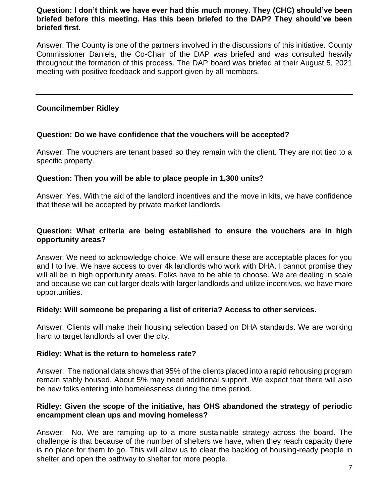# **Question: I don't think we have ever had this much money. They (CHC) should've been briefed before this meeting. Has this been briefed to the DAP? They should've been briefed first.**

Answer: The County is one of the partners involved in the discussions of this initiative. County Commissioner Daniels, the Co-Chair of the DAP was briefed and was consulted heavily throughout the formation of this process. The DAP board was briefed at their August 5, 2021 meeting with positive feedback and support given by all members.

# **Councilmember Ridley**

# **Question: Do we have confidence that the vouchers will be accepted?**

Answer: The vouchers are tenant based so they remain with the client. They are not tied to a specific property.

# **Question: Then you will be able to place people in 1,300 units?**

Answer: Yes. With the aid of the landlord incentives and the move in kits, we have confidence that these will be accepted by private market landlords.

# **Question: What criteria are being established to ensure the vouchers are in high opportunity areas?**

Answer: We need to acknowledge choice. We will ensure these are acceptable places for you and I to live. We have access to over 4k landlords who work with DHA. I cannot promise they will all be in high opportunity areas. Folks have to be able to choose. We are dealing in scale and because we can cut larger deals with larger landlords and utilize incentives, we have more opportunities.

# **Ridely: Will someone be preparing a list of criteria? Access to other services.**

Answer: Clients will make their housing selection based on DHA standards. We are working hard to target landlords all over the city.

# **Ridley: What is the return to homeless rate?**

Answer: The national data shows that 95% of the clients placed into a rapid rehousing program remain stably housed. About 5% may need additional support. We expect that there will also be new folks entering into homelessness during the time period.

# **Ridley: Given the scope of the initiative, has OHS abandoned the strategy of periodic encampment clean ups and moving homeless?**

Answer: No. We are ramping up to a more sustainable strategy across the board. The challenge is that because of the number of shelters we have, when they reach capacity there is no place for them to go. This will allow us to clear the backlog of housing-ready people in shelter and open the pathway to shelter for more people.